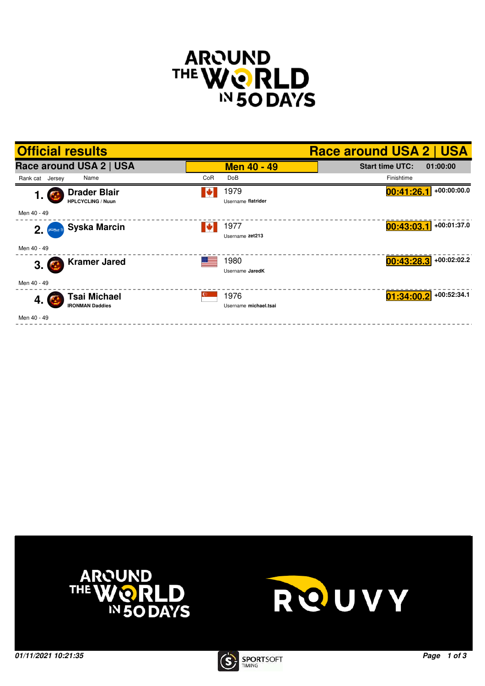

| <b>Official results</b>                               |          |                               | <b>Race around USA 2   USA</b>     |
|-------------------------------------------------------|----------|-------------------------------|------------------------------------|
| Race around USA 2   USA                               |          | <b>Men 40 - 49</b>            | <b>Start time UTC:</b><br>01:00:00 |
| Name<br>Rank cat Jersey                               | CoR      | <b>DoB</b>                    | Finishtime                         |
| <b>Drader Blair</b><br>1.<br><b>HPLCYCLING / Nuun</b> | <b>W</b> | 1979<br>Username flatrider    | $+00:00:00.0$<br>00:41:26.1        |
| Men 40 - 49                                           |          |                               |                                    |
| <b>Syska Marcin</b><br>2.                             |          | 1977<br>Username zet213       | +00:01:37.0<br>00:43:03.1          |
| Men 40 - 49                                           |          |                               |                                    |
| <b>Kramer Jared</b><br>$3.$ $\bullet$                 |          | 1980<br>Username JaredK       | +00:02:02.2<br>00:43:28.3          |
| Men 40 - 49                                           |          |                               |                                    |
| <b>Tsai Michael</b><br>4. (<br><b>IRONMAN Daddies</b> |          | 1976<br>Username michael.tsai | +00:52:34.1<br>01:34:00.2          |
| Men 40 - 49                                           |          |                               |                                    |





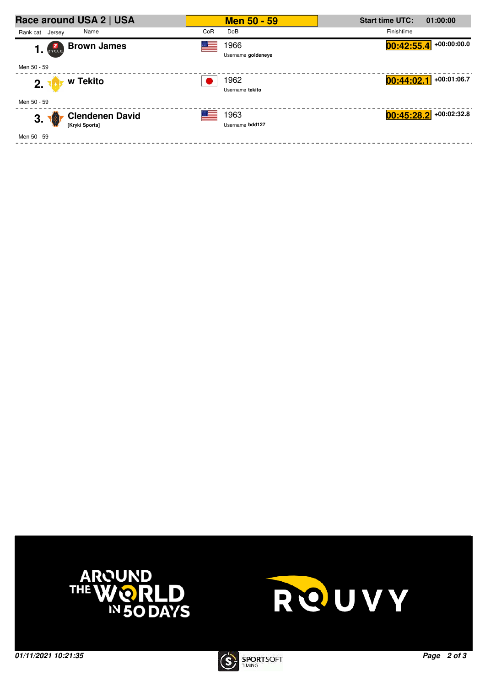| Race around USA 2   USA            | <b>Men 50 - 59</b>         | <b>Start time UTC:</b><br>01:00:00 |
|------------------------------------|----------------------------|------------------------------------|
| Name<br>Rank cat Jersey            | CoR<br>DoB                 | Finishtime                         |
| <b>Brown James</b><br>$1.$ $2.2$   | 1966<br>Username goldeneye | $+00:00:00.0$<br>00:42:55.4        |
| Men 50 - 59                        |                            |                                    |
| w Tekito<br>2.7                    | 1962                       | $+00:01:06.7$<br>00:44:02.1        |
|                                    | Username tekito            |                                    |
| Men 50 - 59                        |                            |                                    |
| <b>Clendenen David</b><br>3.<br>70 | 1963                       | $00:45:28.2$ +00:02:32.8           |
| [Kryki Sports]                     | Username bdd127            |                                    |
| Men 50 - 59                        |                            |                                    |